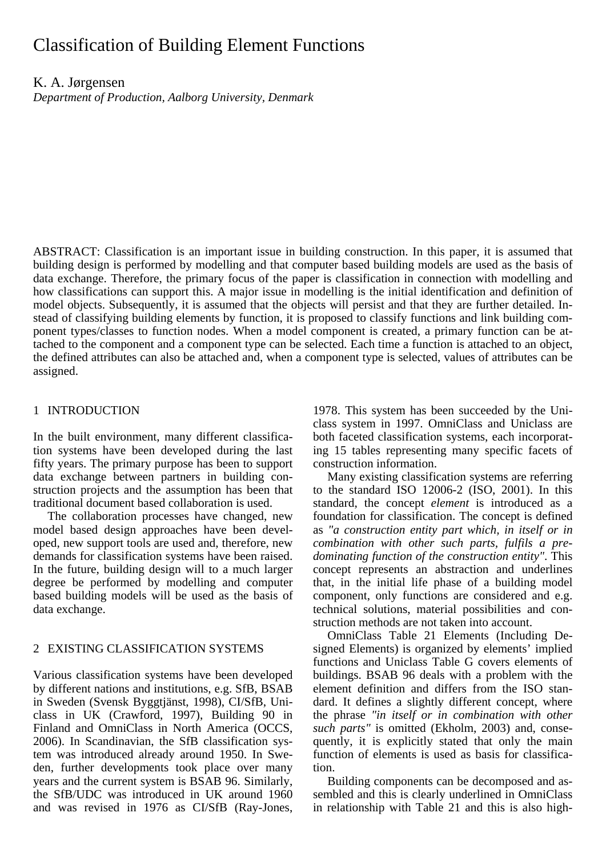# Classification of Building Element Functions

K. A. Jørgensen

*Department of Production, Aalborg University, Denmark* 

ABSTRACT: Classification is an important issue in building construction. In this paper, it is assumed that building design is performed by modelling and that computer based building models are used as the basis of data exchange. Therefore, the primary focus of the paper is classification in connection with modelling and how classifications can support this. A major issue in modelling is the initial identification and definition of model objects. Subsequently, it is assumed that the objects will persist and that they are further detailed. Instead of classifying building elements by function, it is proposed to classify functions and link building component types/classes to function nodes. When a model component is created, a primary function can be attached to the component and a component type can be selected. Each time a function is attached to an object, the defined attributes can also be attached and, when a component type is selected, values of attributes can be assigned.

# 1 INTRODUCTION

In the built environment, many different classification systems have been developed during the last fifty years. The primary purpose has been to support data exchange between partners in building construction projects and the assumption has been that traditional document based collaboration is used.

The collaboration processes have changed, new model based design approaches have been developed, new support tools are used and, therefore, new demands for classification systems have been raised. In the future, building design will to a much larger degree be performed by modelling and computer based building models will be used as the basis of data exchange.

# 2 EXISTING CLASSIFICATION SYSTEMS

Various classification systems have been developed by different nations and institutions, e.g. SfB, BSAB in Sweden (Svensk Byggtjänst, 1998), CI/SfB, Uniclass in UK (Crawford, 1997), Building 90 in Finland and OmniClass in North America (OCCS, 2006). In Scandinavian, the SfB classification system was introduced already around 1950. In Sweden, further developments took place over many years and the current system is BSAB 96. Similarly, the SfB/UDC was introduced in UK around 1960 and was revised in 1976 as CI/SfB (Ray-Jones,

1978. This system has been succeeded by the Uniclass system in 1997. OmniClass and Uniclass are both faceted classification systems, each incorporating 15 tables representing many specific facets of construction information.

Many existing classification systems are referring to the standard ISO 12006-2 (ISO, 2001). In this standard, the concept *element* is introduced as a foundation for classification. The concept is defined as *"a construction entity part which, in itself or in combination with other such parts, fulfils a predominating function of the construction entity"*. This concept represents an abstraction and underlines that, in the initial life phase of a building model component, only functions are considered and e.g. technical solutions, material possibilities and construction methods are not taken into account.

OmniClass Table 21 Elements (Including Designed Elements) is organized by elements' implied functions and Uniclass Table G covers elements of buildings. BSAB 96 deals with a problem with the element definition and differs from the ISO standard. It defines a slightly different concept, where the phrase *"in itself or in combination with other such parts"* is omitted (Ekholm, 2003) and, consequently, it is explicitly stated that only the main function of elements is used as basis for classification.

Building components can be decomposed and assembled and this is clearly underlined in OmniClass in relationship with Table 21 and this is also high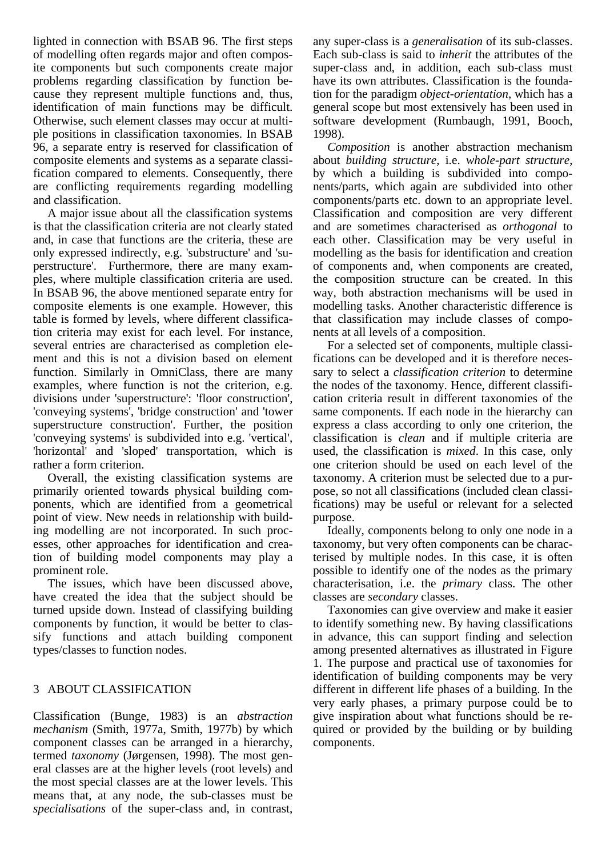lighted in connection with BSAB 96. The first steps of modelling often regards major and often composite components but such components create major problems regarding classification by function because they represent multiple functions and, thus, identification of main functions may be difficult. Otherwise, such element classes may occur at multiple positions in classification taxonomies. In BSAB 96, a separate entry is reserved for classification of composite elements and systems as a separate classification compared to elements. Consequently, there are conflicting requirements regarding modelling and classification.

A major issue about all the classification systems is that the classification criteria are not clearly stated and, in case that functions are the criteria, these are only expressed indirectly, e.g. 'substructure' and 'superstructure'. Furthermore, there are many examples, where multiple classification criteria are used. In BSAB 96, the above mentioned separate entry for composite elements is one example. However, this table is formed by levels, where different classification criteria may exist for each level. For instance, several entries are characterised as completion element and this is not a division based on element function. Similarly in OmniClass, there are many examples, where function is not the criterion, e.g. divisions under 'superstructure': 'floor construction', 'conveying systems', 'bridge construction' and 'tower superstructure construction'. Further, the position 'conveying systems' is subdivided into e.g. 'vertical', 'horizontal' and 'sloped' transportation, which is rather a form criterion.

Overall, the existing classification systems are primarily oriented towards physical building components, which are identified from a geometrical point of view. New needs in relationship with building modelling are not incorporated. In such processes, other approaches for identification and creation of building model components may play a prominent role.

The issues, which have been discussed above, have created the idea that the subject should be turned upside down. Instead of classifying building components by function, it would be better to classify functions and attach building component types/classes to function nodes.

# 3 ABOUT CLASSIFICATION

Classification (Bunge, 1983) is an *abstraction mechanism* (Smith, 1977a, Smith, 1977b) by which component classes can be arranged in a hierarchy, termed *taxonomy* (Jørgensen, 1998). The most general classes are at the higher levels (root levels) and the most special classes are at the lower levels. This means that, at any node, the sub-classes must be *specialisations* of the super-class and, in contrast, any super-class is a *generalisation* of its sub-classes. Each sub-class is said to *inherit* the attributes of the super-class and, in addition, each sub-class must have its own attributes. Classification is the foundation for the paradigm *object-orientation*, which has a general scope but most extensively has been used in software development (Rumbaugh, 1991, Booch, 1998).

*Composition* is another abstraction mechanism about *building structure*, i.e. *whole-part structure*, by which a building is subdivided into components/parts, which again are subdivided into other components/parts etc. down to an appropriate level. Classification and composition are very different and are sometimes characterised as *orthogonal* to each other. Classification may be very useful in modelling as the basis for identification and creation of components and, when components are created, the composition structure can be created. In this way, both abstraction mechanisms will be used in modelling tasks. Another characteristic difference is that classification may include classes of components at all levels of a composition.

For a selected set of components, multiple classifications can be developed and it is therefore necessary to select a *classification criterion* to determine the nodes of the taxonomy. Hence, different classification criteria result in different taxonomies of the same components. If each node in the hierarchy can express a class according to only one criterion, the classification is *clean* and if multiple criteria are used, the classification is *mixed*. In this case, only one criterion should be used on each level of the taxonomy. A criterion must be selected due to a purpose, so not all classifications (included clean classifications) may be useful or relevant for a selected purpose.

Ideally, components belong to only one node in a taxonomy, but very often components can be characterised by multiple nodes. In this case, it is often possible to identify one of the nodes as the primary characterisation, i.e. the *primary* class. The other classes are *secondary* classes.

Taxonomies can give overview and make it easier to identify something new. By having classifications in advance, this can support finding and selection among presented alternatives as illustrated in Figure 1. The purpose and practical use of taxonomies for identification of building components may be very different in different life phases of a building. In the very early phases, a primary purpose could be to give inspiration about what functions should be required or provided by the building or by building components.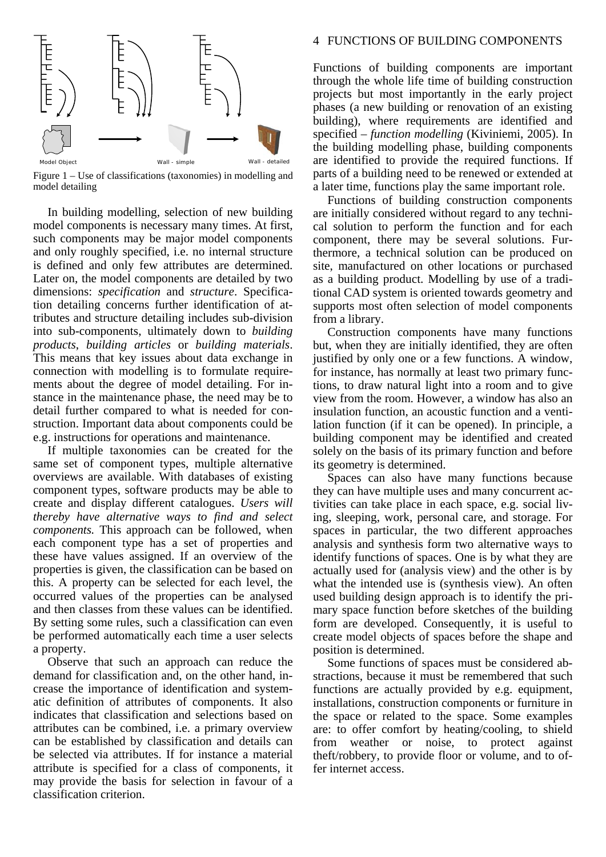

Figure 1 – Use of classifications (taxonomies) in modelling and model detailing

In building modelling, selection of new building model components is necessary many times. At first, such components may be major model components and only roughly specified, i.e. no internal structure is defined and only few attributes are determined. Later on, the model components are detailed by two dimensions: *specification* and *structure*. Specification detailing concerns further identification of attributes and structure detailing includes sub-division into sub-components, ultimately down to *building products*, *building articles* or *building materials*. This means that key issues about data exchange in connection with modelling is to formulate requirements about the degree of model detailing. For instance in the maintenance phase, the need may be to detail further compared to what is needed for construction. Important data about components could be e.g. instructions for operations and maintenance.

If multiple taxonomies can be created for the same set of component types, multiple alternative overviews are available. With databases of existing component types, software products may be able to create and display different catalogues. *Users will thereby have alternative ways to find and select components.* This approach can be followed, when each component type has a set of properties and these have values assigned. If an overview of the properties is given, the classification can be based on this. A property can be selected for each level, the occurred values of the properties can be analysed and then classes from these values can be identified. By setting some rules, such a classification can even be performed automatically each time a user selects a property.

Observe that such an approach can reduce the demand for classification and, on the other hand, increase the importance of identification and systematic definition of attributes of components. It also indicates that classification and selections based on attributes can be combined, i.e. a primary overview can be established by classification and details can be selected via attributes. If for instance a material attribute is specified for a class of components, it may provide the basis for selection in favour of a classification criterion.

### 4 FUNCTIONS OF BUILDING COMPONENTS

Functions of building components are important through the whole life time of building construction projects but most importantly in the early project phases (a new building or renovation of an existing building), where requirements are identified and specified – *function modelling* (Kiviniemi, 2005). In the building modelling phase, building components are identified to provide the required functions. If parts of a building need to be renewed or extended at a later time, functions play the same important role.

Functions of building construction components are initially considered without regard to any technical solution to perform the function and for each component, there may be several solutions. Furthermore, a technical solution can be produced on site, manufactured on other locations or purchased as a building product. Modelling by use of a traditional CAD system is oriented towards geometry and supports most often selection of model components from a library.

Construction components have many functions but, when they are initially identified, they are often justified by only one or a few functions. A window, for instance, has normally at least two primary functions, to draw natural light into a room and to give view from the room. However, a window has also an insulation function, an acoustic function and a ventilation function (if it can be opened). In principle, a building component may be identified and created solely on the basis of its primary function and before its geometry is determined.

Spaces can also have many functions because they can have multiple uses and many concurrent activities can take place in each space, e.g. social living, sleeping, work, personal care, and storage. For spaces in particular, the two different approaches analysis and synthesis form two alternative ways to identify functions of spaces. One is by what they are actually used for (analysis view) and the other is by what the intended use is (synthesis view). An often used building design approach is to identify the primary space function before sketches of the building form are developed. Consequently, it is useful to create model objects of spaces before the shape and position is determined.

Some functions of spaces must be considered abstractions, because it must be remembered that such functions are actually provided by e.g. equipment, installations, construction components or furniture in the space or related to the space. Some examples are: to offer comfort by heating/cooling, to shield from weather or noise, to protect against theft/robbery, to provide floor or volume, and to offer internet access.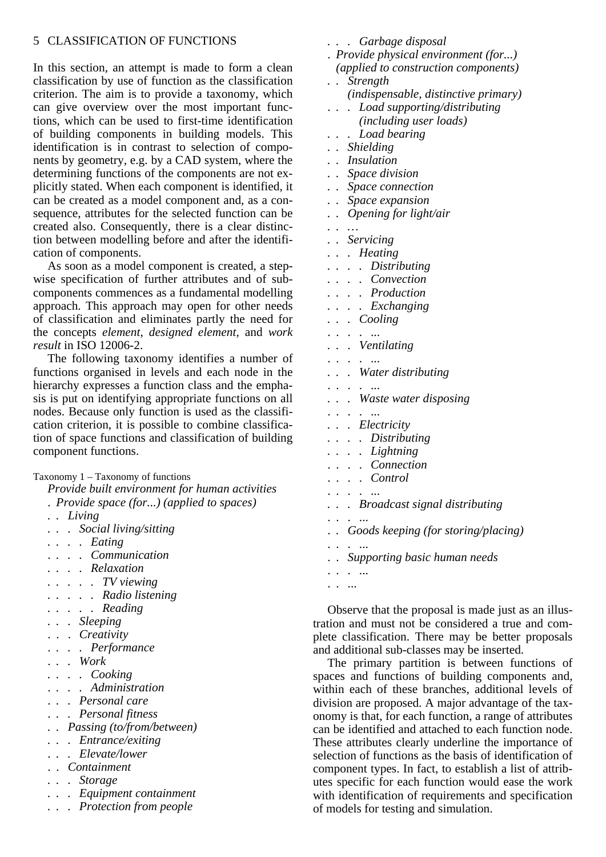### 5 CLASSIFICATION OF FUNCTIONS

In this section, an attempt is made to form a clean classification by use of function as the classification criterion. The aim is to provide a taxonomy, which can give overview over the most important functions, which can be used to first-time identification of building components in building models. This identification is in contrast to selection of components by geometry, e.g. by a CAD system, where the determining functions of the components are not explicitly stated. When each component is identified, it can be created as a model component and, as a consequence, attributes for the selected function can be created also. Consequently, there is a clear distinction between modelling before and after the identification of components.

As soon as a model component is created, a stepwise specification of further attributes and of subcomponents commences as a fundamental modelling approach. This approach may open for other needs of classification and eliminates partly the need for the concepts *element*, *designed element,* and *work result* in ISO 12006-2.

The following taxonomy identifies a number of functions organised in levels and each node in the hierarchy expresses a function class and the emphasis is put on identifying appropriate functions on all nodes. Because only function is used as the classification criterion, it is possible to combine classification of space functions and classification of building component functions.

#### Taxonomy 1 – Taxonomy of functions

*Provide built environment for human activities* 

- . *Provide space (for...) (applied to spaces)*
- *. . Living*
- *. . . Social living/sitting*
- *. . . . Eating*
- . *. . . Communication*
- *. . . . Relaxation*
- *. . . . . TV viewing*
- *. . . . . Radio listening*
- *. . . . . Reading*
- *. . . Sleeping*
- . . . *Creativity*
- . *. . . Performance*
- . *. . Work*
- *. . . . Cooking*
- . *. . . Administration*
- . *. . Personal care*
- . *. . Personal fitness*
- *. . Passing (to/from/between)*
- *. . . Entrance/exiting*
- . *. . Elevate/lower*
- . . *Containment*
- *. . . Storage*
- *. . . Equipment containment*
- *. . . Protection from people*
- *. . . Garbage disposal*
- . *Provide physical environment (for...) (applied to construction components)*
- *. . Strength (indispensable, distinctive primary)*
- . *. . Load supporting/distributing (including user loads)*
- *. . . Load bearing*
- *. . Shielding*
- *. . Insulation*
- *. . Space division*
- *. . Space connection*
- *. . Space expansion*
- *. . Opening for light/air*
- *. . …*
- *. . Servicing*
- *. . . Heating*
- *. . . . Distributing*
- *. . . . Convection*
- *. . . . Production*
- *. . . . Exchanging*
- *. . . Cooling*  . . . . ...
- *. . . Ventilating*
- . . . . ...
- *. . . Water distributing*
- . . . . ...
- *. . . Waste water disposing*
- . . . . ...
- *. . . Electricity*
- *. . . . Distributing*
- *. . . . Lightning*  . . . . *Connection*
- . . . . *Control*
- . . . . ...
- *. . . Broadcast signal distributing*
- . . . ...
- . *. Goods keeping (for storing/placing)*
- . . . ...
- . . *Supporting basic human needs*
- . . . ...
- . . ...

Observe that the proposal is made just as an illustration and must not be considered a true and complete classification. There may be better proposals and additional sub-classes may be inserted.

The primary partition is between functions of spaces and functions of building components and, within each of these branches, additional levels of division are proposed. A major advantage of the taxonomy is that, for each function, a range of attributes can be identified and attached to each function node. These attributes clearly underline the importance of selection of functions as the basis of identification of component types. In fact, to establish a list of attributes specific for each function would ease the work with identification of requirements and specification of models for testing and simulation.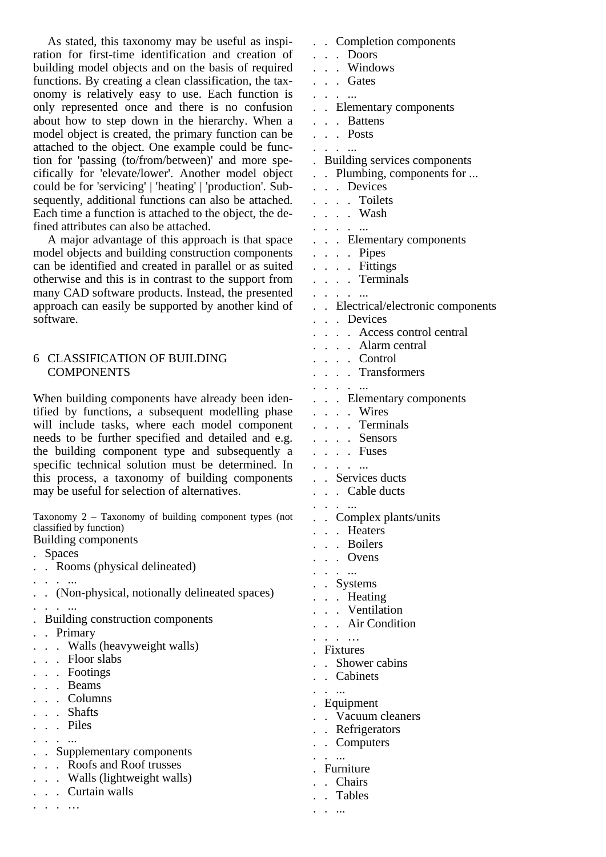As stated, this taxonomy may be useful as inspiration for first-time identification and creation of building model objects and on the basis of required functions. By creating a clean classification, the taxonomy is relatively easy to use. Each function is only represented once and there is no confusion about how to step down in the hierarchy. When a model object is created, the primary function can be attached to the object. One example could be function for 'passing (to/from/between)' and more specifically for 'elevate/lower'. Another model object could be for 'servicing' | 'heating' | 'production'. Subsequently, additional functions can also be attached. Each time a function is attached to the object, the defined attributes can also be attached.

A major advantage of this approach is that space model objects and building construction components can be identified and created in parallel or as suited otherwise and this is in contrast to the support from many CAD software products. Instead, the presented approach can easily be supported by another kind of software.

### 6 CLASSIFICATION OF BUILDING COMPONENTS

When building components have already been identified by functions, a subsequent modelling phase will include tasks, where each model component needs to be further specified and detailed and e.g. the building component type and subsequently a specific technical solution must be determined. In this process, a taxonomy of building components may be useful for selection of alternatives.

Taxonomy 2 – Taxonomy of building component types (not classified by function)

Building components . Spaces . . Rooms (physical delineated) . . . ... . . (Non-physical, notionally delineated spaces) . . . ... . Building construction components . . Primary . . . Walls (heavyweight walls) . . . Floor slabs . . . Footings . . . Beams . . . Columns . . . Shafts . . . Piles . . . ... . . Supplementary components . . . Roofs and Roof trusses . . . Walls (lightweight walls) . . . Curtain walls . . . …

. . Completion components . . . Doors . . . Windows . . . Gates . . . ... . . Elementary components . . . Battens . . . Posts . . . ... . Building services components . . Plumbing, components for ... . . . Devices . . . . Toilets . . . . Wash . . . . ... . . . Elementary components . . . . Pipes . . . . Fittings . . . . Terminals . . . . ... . . Electrical/electronic components . . . Devices . . . . Access control central . . . . Alarm central . . . . Control . . . . Transformers . . . . ... . . . Elementary components . . . . Wires . . . . Terminals . . . . Sensors . . . . Fuses . . . . ... . . Services ducts . . . Cable ducts . . . ... . . Complex plants/units . . . Heaters . . . Boilers . . . Ovens . . . ... . . Systems . . . Heating . . . Ventilation . . . Air Condition . . . … . Fixtures . . Shower cabins . . Cabinets . . ... . Equipment . . Vacuum cleaners . . Refrigerators . . Computers . . ... . Furniture . . Chairs . . Tables . . ...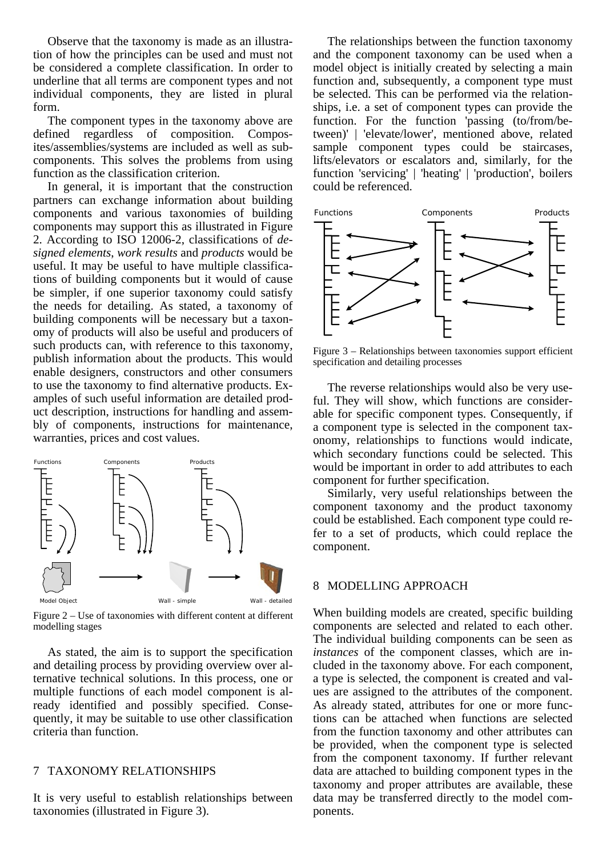Observe that the taxonomy is made as an illustration of how the principles can be used and must not be considered a complete classification. In order to underline that all terms are component types and not individual components, they are listed in plural form.

The component types in the taxonomy above are defined regardless of composition. Composites/assemblies/systems are included as well as subcomponents. This solves the problems from using function as the classification criterion.

In general, it is important that the construction partners can exchange information about building components and various taxonomies of building components may support this as illustrated in Figure 2. According to ISO 12006-2, classifications of *designed elements*, *work results* and *products* would be useful. It may be useful to have multiple classifications of building components but it would of cause be simpler, if one superior taxonomy could satisfy the needs for detailing. As stated, a taxonomy of building components will be necessary but a taxonomy of products will also be useful and producers of such products can, with reference to this taxonomy, publish information about the products. This would enable designers, constructors and other consumers to use the taxonomy to find alternative products. Examples of such useful information are detailed product description, instructions for handling and assembly of components, instructions for maintenance, warranties, prices and cost values.



Figure 2 – Use of taxonomies with different content at different modelling stages

As stated, the aim is to support the specification and detailing process by providing overview over alternative technical solutions. In this process, one or multiple functions of each model component is already identified and possibly specified. Consequently, it may be suitable to use other classification criteria than function.

### 7 TAXONOMY RELATIONSHIPS

It is very useful to establish relationships between taxonomies (illustrated in Figure 3).

The relationships between the function taxonomy and the component taxonomy can be used when a model object is initially created by selecting a main function and, subsequently, a component type must be selected. This can be performed via the relationships, i.e. a set of component types can provide the function. For the function 'passing (to/from/between)' | 'elevate/lower', mentioned above, related sample component types could be staircases, lifts/elevators or escalators and, similarly, for the function 'servicing' | 'heating' | 'production', boilers could be referenced.



Figure 3 – Relationships between taxonomies support efficient specification and detailing processes

The reverse relationships would also be very useful. They will show, which functions are considerable for specific component types. Consequently, if a component type is selected in the component taxonomy, relationships to functions would indicate, which secondary functions could be selected. This would be important in order to add attributes to each component for further specification.

Similarly, very useful relationships between the component taxonomy and the product taxonomy could be established. Each component type could refer to a set of products, which could replace the component.

### 8 MODELLING APPROACH

When building models are created, specific building components are selected and related to each other. The individual building components can be seen as *instances* of the component classes, which are included in the taxonomy above. For each component, a type is selected, the component is created and values are assigned to the attributes of the component. As already stated, attributes for one or more functions can be attached when functions are selected from the function taxonomy and other attributes can be provided, when the component type is selected from the component taxonomy. If further relevant data are attached to building component types in the taxonomy and proper attributes are available, these data may be transferred directly to the model components.